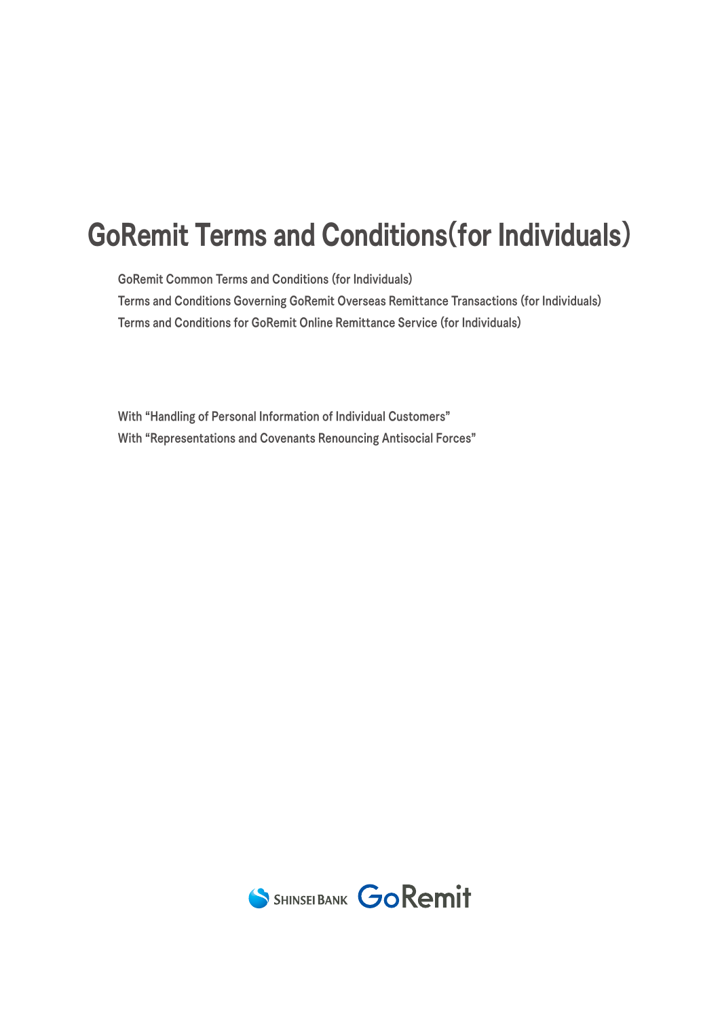# GoRemit Terms and Conditions(for Individuals)

GoRemit Common Terms and Conditions (for Individuals)

Terms and Conditions Governing GoRemit Overseas Remittance Transactions (for Individuals) Terms and Conditions for GoRemit Online Remittance Service (for Individuals)

With "Handling of Personal Information of Individual Customers" With "Representations and Covenants Renouncing Antisocial Forces"

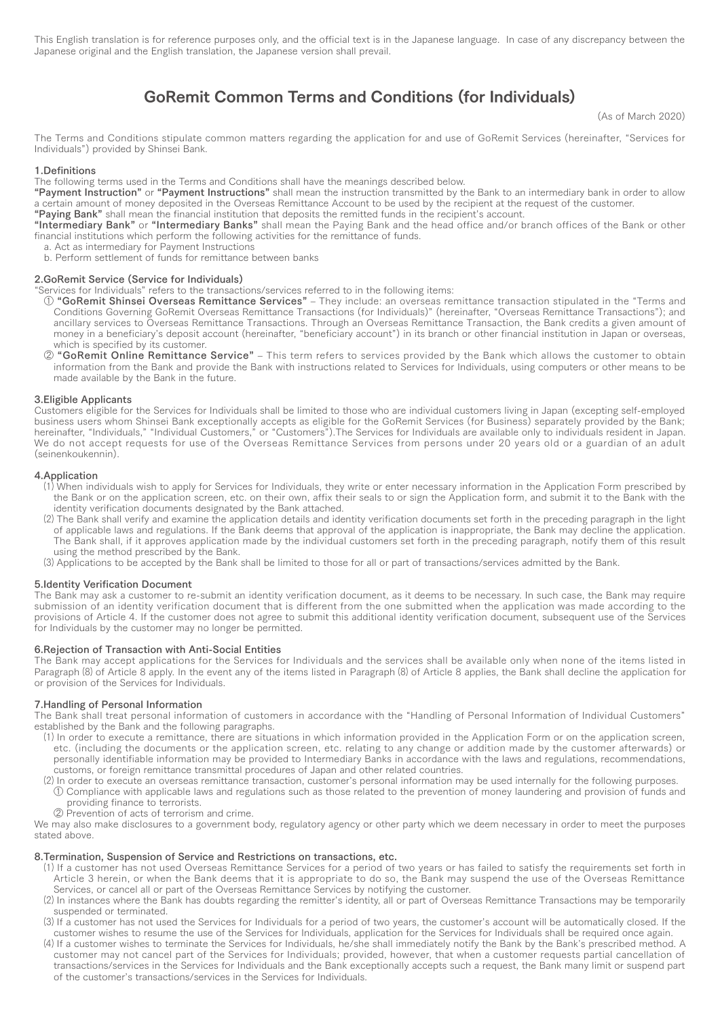This English translation is for reference purposes only, and the official text is in the Japanese language. In case of any discrepancy between the Japanese original and the English translation, the Japanese version shall prevail.

# GoRemit Common Terms and Conditions (for Individuals)

(As of March 2020)

The Terms and Conditions stipulate common matters regarding the application for and use of GoRemit Services (hereinafter, "Services for Individuals") provided by Shinsei Bank.

#### 1.Definitions

The following terms used in the Terms and Conditions shall have the meanings described below.

"Payment Instruction" or "Payment Instructions" shall mean the instruction transmitted by the Bank to an intermediary bank in order to allow a certain amount of money deposited in the Overseas Remittance Account to be used by the recipient at the request of the customer.

"Paying Bank" shall mean the financial institution that deposits the remitted funds in the recipient's account.

"Intermediary Bank" or "Intermediary Banks" shall mean the Paying Bank and the head office and/or branch offices of the Bank or other financial institutions which perform the following activities for the remittance of funds.

- a. Act as intermediary for Payment Instructions
- b. Perform settlement of funds for remittance between banks

#### 2.GoRemit Service (Service for Individuals)

"Services for Individuals" refers to the transactions/services referred to in the following items:

- ① "GoRemit Shinsei Overseas Remittance Services" ‒ They include: an overseas remittance transaction stipulated in the "Terms and Conditions Governing GoRemit Overseas Remittance Transactions (for Individuals)" (hereinafter, "Overseas Remittance Transactions"); and ancillary services to Overseas Remittance Transactions. Through an Overseas Remittance Transaction, the Bank credits a given amount of money in a beneficiary's deposit account (hereinafter, "beneficiary account") in its branch or other financial institution in Japan or overseas, which is specified by its customer.
- ② "GoRemit Online Remittance Service" ‒ This term refers to services provided by the Bank which allows the customer to obtain information from the Bank and provide the Bank with instructions related to Services for Individuals, using computers or other means to be made available by the Bank in the future.

#### 3.Eligible Applicants

Customers eligible for the Services for Individuals shall be limited to those who are individual customers living in Japan (excepting self-employed business users whom Shinsei Bank exceptionally accepts as eligible for the GoRemit Services (for Business) separately provided by the Bank; hereinafter, "Individuals," "Individual Customers," or "Customers").The Services for Individuals are available only to individuals resident in Japan. We do not accept requests for use of the Overseas Remittance Services from persons under 20 years old or a guardian of an adult (seinenkoukennin).

#### 4.Application

- ⑴ When individuals wish to apply for Services for Individuals, they write or enter necessary information in the Application Form prescribed by the Bank or on the application screen, etc. on their own, affix their seals to or sign the Application form, and submit it to the Bank with the identity verification documents designated by the Bank attached.
- ⑵ The Bank shall verify and examine the application details and identity verification documents set forth in the preceding paragraph in the light of applicable laws and regulations. If the Bank deems that approval of the application is inappropriate, the Bank may decline the application. The Bank shall, if it approves application made by the individual customers set forth in the preceding paragraph, notify them of this result using the method prescribed by the Bank.
- ⑶ Applications to be accepted by the Bank shall be limited to those for all or part of transactions/services admitted by the Bank.

#### 5.Identity Verification Document

The Bank may ask a customer to re-submit an identity verification document, as it deems to be necessary. In such case, the Bank may require submission of an identity verification document that is different from the one submitted when the application was made according to the provisions of Article 4. If the customer does not agree to submit this additional identity verification document, subsequent use of the Services for Individuals by the customer may no longer be permitted.

#### 6.Rejection of Transaction with Anti-Social Entities

The Bank may accept applications for the Services for Individuals and the services shall be available only when none of the items listed in Paragraph (8) of Article 8 apply. In the event any of the items listed in Paragraph (8) of Article 8 applies, the Bank shall decline the application for or provision of the Services for Individuals.

# 7.Handling of Personal Information

The Bank shall treat personal information of customers in accordance with the "Handling of Personal Information of Individual Customers" established by the Bank and the following paragraphs.

- ⑴ In order to execute a remittance, there are situations in which information provided in the Application Form or on the application screen, etc. (including the documents or the application screen, etc. relating to any change or addition made by the customer afterwards) or personally identifiable information may be provided to Intermediary Banks in accordance with the laws and regulations, recommendations, customs, or foreign remittance transmittal procedures of Japan and other related countries.
- ⑵ In order to execute an overseas remittance transaction, customer's personal information may be used internally for the following purposes.
- $\overline{0}$  Compliance with applicable laws and regulations such as those related to the prevention of money laundering and provision of funds and providing finance to terrorists.
- ② Prevention of acts of terrorism and crime.

We may also make disclosures to a government body, regulatory agency or other party which we deem necessary in order to meet the purposes stated above.

#### 8.Termination, Suspension of Service and Restrictions on transactions, etc.

- ⑴ If a customer has not used Overseas Remittance Services for a period of two years or has failed to satisfy the requirements set forth in Article 3 herein, or when the Bank deems that it is appropriate to do so, the Bank may suspend the use of the Overseas Remittance Services, or cancel all or part of the Overseas Remittance Services by notifying the customer.
- ⑵ In instances where the Bank has doubts regarding the remitter's identity, all or part of Overseas Remittance Transactions may be temporarily suspended or terminated.
- ⑶ If a customer has not used the Services for Individuals for a period of two years, the customer's account will be automatically closed. If the customer wishes to resume the use of the Services for Individuals, application for the Services for Individuals shall be required once again.
- ⑷ If a customer wishes to terminate the Services for Individuals, he/she shall immediately notify the Bank by the Bank's prescribed method. A customer may not cancel part of the Services for Individuals; provided, however, that when a customer requests partial cancellation of transactions/services in the Services for Individuals and the Bank exceptionally accepts such a request, the Bank many limit or suspend part of the customer's transactions/services in the Services for Individuals.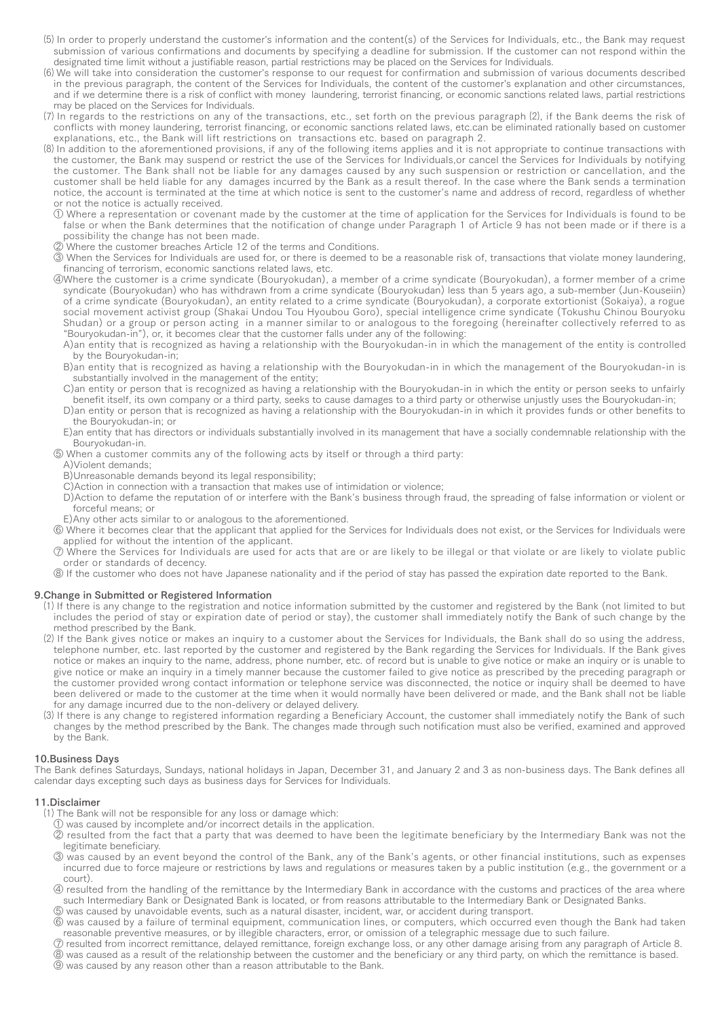- ⑸ In order to properly understand the customer's information and the content(s) of the Services for Individuals, etc., the Bank may request submission of various confirmations and documents by specifying a deadline for submission. If the customer can not respond within the designated time limit without a justifiable reason, partial restrictions may be placed on the Services for Individuals.
- ⑹ We will take into consideration the customer's response to our request for confirmation and submission of various documents described in the previous paragraph, the content of the Services for Individuals, the content of the customer's explanation and other circumstances, and if we determine there is a risk of conflict with money laundering, terrorist financing, or economic sanctions related laws, partial restrictions may be placed on the Services for Individuals.
- ⑺ In regards to the restrictions on any of the transactions, etc., set forth on the previous paragraph ⑵, if the Bank deems the risk of conflicts with money laundering, terrorist financing, or economic sanctions related laws, etc.can be eliminated rationally based on customer explanations, etc., the Bank will lift restrictions on transactions etc. based on paragraph 2.
- ⑻ In addition to the aforementioned provisions, if any of the following items applies and it is not appropriate to continue transactions with the customer, the Bank may suspend or restrict the use of the Services for Individuals,or cancel the Services for Individuals by notifying the customer. The Bank shall not be liable for any damages caused by any such suspension or restriction or cancellation, and the customer shall be held liable for any damages incurred by the Bank as a result thereof. In the case where the Bank sends a termination notice, the account is terminated at the time at which notice is sent to the customer's name and address of record, regardless of whether or not the notice is actually received.
	- ① Where a representation or covenant made by the customer at the time of application for the Services for Individuals is found to be false or when the Bank determines that the notification of change under Paragraph 1 of Article 9 has not been made or if there is a possibility the change has not been made.
	- ② Where the customer breaches Article 12 of the terms and Conditions.
	- ③ When the Services for Individuals are used for, or there is deemed to be a reasonable risk of, transactions that violate money laundering, financing of terrorism, economic sanctions related laws, etc.
	- ④Where the customer is a crime syndicate (Bouryokudan), a member of a crime syndicate (Bouryokudan), a former member of a crime syndicate (Bouryokudan) who has withdrawn from a crime syndicate (Bouryokudan) less than 5 years ago, a sub-member (Jun-Kouseiin) of a crime syndicate (Bouryokudan), an entity related to a crime syndicate (Bouryokudan), a corporate extortionist (Sokaiya), a rogue social movement activist group (Shakai Undou Tou Hyoubou Goro), special intelligence crime syndicate (Tokushu Chinou Bouryoku Shudan) or a group or person acting in a manner similar to or analogous to the foregoing (hereinafter collectively referred to as "Bouryokudan-in"), or, it becomes clear that the customer falls under any of the following:
		- A)an entity that is recognized as having a relationship with the Bouryokudan-in in which the management of the entity is controlled by the Bouryokudan-in;
		- B)an entity that is recognized as having a relationship with the Bouryokudan-in in which the management of the Bouryokudan-in is substantially involved in the management of the entity;
		- C)an entity or person that is recognized as having a relationship with the Bouryokudan-in in which the entity or person seeks to unfairly benefit itself, its own company or a third party, seeks to cause damages to a third party or otherwise unjustly uses the Bouryokudan-in;
		- D)an entity or person that is recognized as having a relationship with the Bouryokudan-in in which it provides funds or other benefits to the Bouryokudan-in; or
		- E)an entity that has directors or individuals substantially involved in its management that have a socially condemnable relationship with the Bouryokudan-in.
	- ⑤ When a customer commits any of the following acts by itself or through a third party:
		- A)Violent demands;
		- B)Unreasonable demands beyond its legal responsibility;
		- C)Action in connection with a transaction that makes use of intimidation or violence;
		- D)Action to defame the reputation of or interfere with the Bank's business through fraud, the spreading of false information or violent or forceful means; or
	- E)Any other acts similar to or analogous to the aforementioned.
	- ⑥ Where it becomes clear that the applicant that applied for the Services for Individuals does not exist, or the Services for Individuals were applied for without the intention of the applicant.
	- ⑦ Where the Services for Individuals are used for acts that are or are likely to be illegal or that violate or are likely to violate public order or standards of decency.
	- ⑧ If the customer who does not have Japanese nationality and if the period of stay has passed the expiration date reported to the Bank.

#### 9.Change in Submitted or Registered Information

- ⑴ If there is any change to the registration and notice information submitted by the customer and registered by the Bank (not limited to but includes the period of stay or expiration date of period or stay), the customer shall immediately notify the Bank of such change by the method prescribed by the Bank.
- ⑵ If the Bank gives notice or makes an inquiry to a customer about the Services for Individuals, the Bank shall do so using the address, telephone number, etc. last reported by the customer and registered by the Bank regarding the Services for Individuals. If the Bank gives notice or makes an inquiry to the name, address, phone number, etc. of record but is unable to give notice or make an inquiry or is unable to give notice or make an inquiry in a timely manner because the customer failed to give notice as prescribed by the preceding paragraph or the customer provided wrong contact information or telephone service was disconnected, the notice or inquiry shall be deemed to have been delivered or made to the customer at the time when it would normally have been delivered or made, and the Bank shall not be liable for any damage incurred due to the non-delivery or delayed delivery.
- ⑶ If there is any change to registered information regarding a Beneficiary Account, the customer shall immediately notify the Bank of such changes by the method prescribed by the Bank. The changes made through such notification must also be verified, examined and approved by the Bank.

#### 10.Business Days

The Bank defines Saturdays, Sundays, national holidays in Japan, December 31, and January 2 and 3 as non-business days. The Bank defines all calendar days excepting such days as business days for Services for Individuals.

#### 11.Disclaimer

- ⑴ The Bank will not be responsible for any loss or damage which:
	- ① was caused by incomplete and/or incorrect details in the application.
	- ② resulted from the fact that a party that was deemed to have been the legitimate beneficiary by the Intermediary Bank was not the legitimate beneficiary.
	- **3** was caused by an event beyond the control of the Bank, any of the Bank's agents, or other financial institutions, such as expenses incurred due to force majeure or restrictions by laws and regulations or measures taken by a public institution (e.g., the government or a court).
	- ④ resulted from the handling of the remittance by the Intermediary Bank in accordance with the customs and practices of the area where such Intermediary Bank or Designated Bank is located, or from reasons attributable to the Intermediary Bank or Designated Banks.
	- ⑤ was caused by unavoidable events, such as a natural disaster, incident, war, or accident during transport.
	- ⑥ was caused by a failure of terminal equipment, communication lines, or computers, which occurred even though the Bank had taken reasonable preventive measures, or by illegible characters, error, or omission of a telegraphic message due to such failure.
	- ⑦ resulted from incorrect remittance, delayed remittance, foreign exchange loss, or any other damage arising from any paragraph of Article 8.
	- ⑧ was caused as a result of the relationship between the customer and the beneficiary or any third party, on which the remittance is based.
	- ⑨ was caused by any reason other than a reason attributable to the Bank.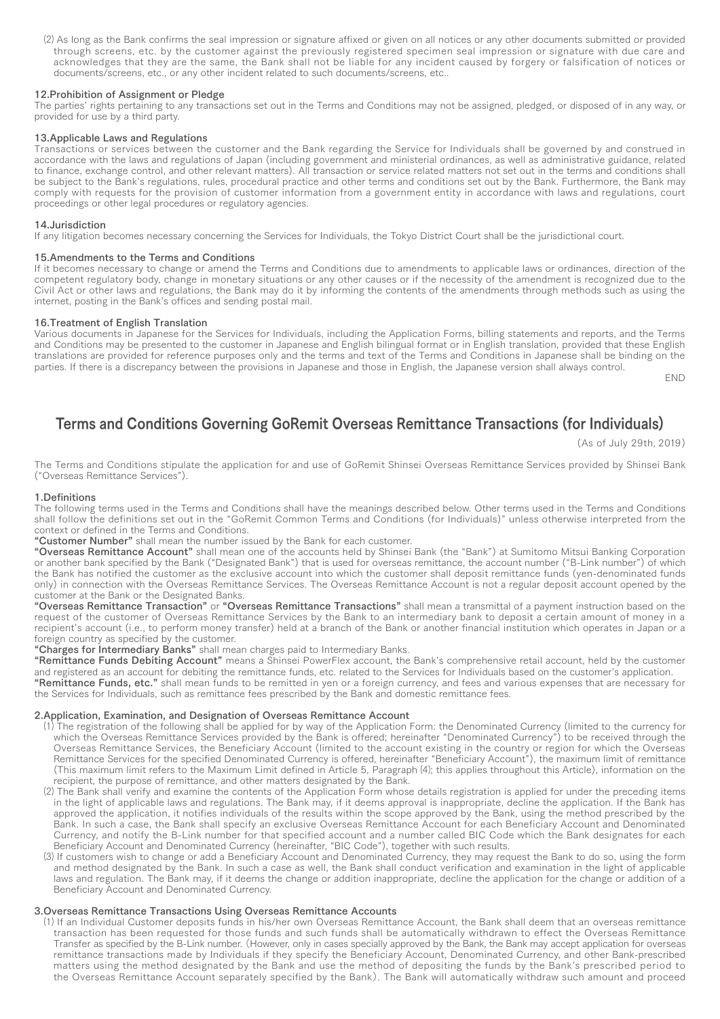⑵ As long as the Bank confirms the seal impression or signature affixed or given on all notices or any other documents submitted or provided through screens, etc. by the customer against the previously registered specimen seal impression or signature with due care and acknowledges that they are the same, the Bank shall not be liable for any incident caused by forgery or falsification of notices or documents/screens, etc., or any other incident related to such documents/screens, etc..

## 12.Prohibition of Assignment or Pledge

The parties' rights pertaining to any transactions set out in the Terms and Conditions may not be assigned, pledged, or disposed of in any way, or provided for use by a third party.

### 13.Applicable Laws and Regulations

Transactions or services between the customer and the Bank regarding the Service for Individuals shall be governed by and construed in accordance with the laws and regulations of Japan (including government and ministerial ordinances, as well as administrative guidance, related to finance, exchange control, and other relevant matters). All transaction or service related matters not set out in the terms and conditions shall be subject to the Bank's regulations, rules, procedural practice and other terms and conditions set out by the Bank. Furthermore, the Bank may comply with requests for the provision of customer information from a government entity in accordance with laws and regulations, court proceedings or other legal procedures or regulatory agencies.

### 14.Jurisdiction

If any litigation becomes necessary concerning the Services for Individuals, the Tokyo District Court shall be the jurisdictional court.

#### 15.Amendments to the Terms and Conditions

If it becomes necessary to change or amend the Terms and Conditions due to amendments to applicable laws or ordinances, direction of the competent regulatory body, change in monetary situations or any other causes or if the necessity of the amendment is recognized due to the Civil Act or other laws and regulations, the Bank may do it by informing the contents of the amendments through methods such as using the internet, posting in the Bank's offices and sending postal mail.

# 16.Treatment of English Translation

Various documents in Japanese for the Services for Individuals, including the Application Forms, billing statements and reports, and the Terms and Conditions may be presented to the customer in Japanese and English bilingual format or in English translation, provided that these English translations are provided for reference purposes only and the terms and text of the Terms and Conditions in Japanese shall be binding on the parties. If there is a discrepancy between the provisions in Japanese and those in English, the Japanese version shall always control.

END

# Terms and Conditions Governing GoRemit Overseas Remittance Transactions (for Individuals)

(As of July 29th, 2019)

The Terms and Conditions stipulate the application for and use of GoRemit Shinsei Overseas Remittance Services provided by Shinsei Bank ("Overseas Remittance Services").

## 1.Definitions

The following terms used in the Terms and Conditions shall have the meanings described below. Other terms used in the Terms and Conditions shall follow the definitions set out in the "GoRemit Common Terms and Conditions (for Individuals)" unless otherwise interpreted from the context or defined in the Terms and Conditions.

"Customer Number" shall mean the number issued by the Bank for each customer.

"Overseas Remittance Account" shall mean one of the accounts held by Shinsei Bank (the "Bank") at Sumitomo Mitsui Banking Corporation or another bank specified by the Bank ("Designated Bank") that is used for overseas remittance, the account number ("B-Link number") of which the Bank has notified the customer as the exclusive account into which the customer shall deposit remittance funds (yen-denominated funds only) in connection with the Overseas Remittance Services. The Overseas Remittance Account is not a regular deposit account opened by the customer at the Bank or the Designated Banks.

"Overseas Remittance Transaction" or "Overseas Remittance Transactions" shall mean a transmittal of a payment instruction based on the request of the customer of Overseas Remittance Services by the Bank to an intermediary bank to deposit a certain amount of money in a recipient's account (i.e., to perform money transfer) held at a branch of the Bank or another financial institution which operates in Japan or a foreign country as specified by the customer.

"Charges for Intermediary Banks" shall mean charges paid to Intermediary Banks.

"Remittance Funds Debiting Account" means a Shinsei PowerFlex account, the Bank's comprehensive retail account, held by the customer and registered as an account for debiting the remittance funds, etc. related to the Services for Individuals based on the customer's application. "Remittance Funds, etc." shall mean funds to be remitted in yen or a foreign currency, and fees and various expenses that are necessary for the Services for Individuals, such as remittance fees prescribed by the Bank and domestic remittance fees.

## 2.Application, Examination, and Designation of Overseas Remittance Account

- ⑴ The registration of the following shall be applied for by way of the Application Form: the Denominated Currency (limited to the currency for which the Overseas Remittance Services provided by the Bank is offered; hereinafter "Denominated Currency") to be received through the Overseas Remittance Services, the Beneficiary Account (limited to the account existing in the country or region for which the Overseas Remittance Services for the specified Denominated Currency is offered, hereinafter "Beneficiary Account"), the maximum limit of remittance (This maximum limit refers to the Maximum Limit defined in Article 5, Paragraph ⑷; this applies throughout this Article), information on the recipient, the purpose of remittance, and other matters designated by the Bank.
- ⑵ The Bank shall verify and examine the contents of the Application Form whose details registration is applied for under the preceding items in the light of applicable laws and regulations. The Bank may, if it deems approval is inappropriate, decline the application. If the Bank has approved the application, it notifies individuals of the results within the scope approved by the Bank, using the method prescribed by the Bank. In such a case, the Bank shall specify an exclusive Overseas Remittance Account for each Beneficiary Account and Denominated Currency, and notify the B-Link number for that specified account and a number called BIC Code which the Bank designates for each Beneficiary Account and Denominated Currency (hereinafter, "BIC Code"), together with such results.
- Gononsiary Account and Beneficiary Account and Denominated Currency, they may request the Bank to do so, using the form (3) If customers wish to change or add a Beneficiary Account and Denominated Currency, they may reques and method designated by the Bank. In such a case as well, the Bank shall conduct verification and examination in the light of applicable laws and regulation. The Bank may, if it deems the change or addition inappropriate, decline the application for the change or addition of a Beneficiary Account and Denominated Currency.

#### 3.Overseas Remittance Transactions Using Overseas Remittance Accounts

⑴ If an Individual Customer deposits funds in his/her own Overseas Remittance Account, the Bank shall deem that an overseas remittance transaction has been requested for those funds and such funds shall be automatically withdrawn to effect the Overseas Remittance Transfer as specified by the B-Link number. (However, only in cases specially approved by the Bank, the Bank may accept application for overseas remittance transactions made by Individuals if they specify the Beneficiary Account, Denominated Currency, and other Bank-prescribed matters using the method designated by the Bank and use the method of depositing the funds by the Bank's prescribed period to the Overseas Remittance Account separately specified by the Bank). The Bank will automatically withdraw such amount and proceed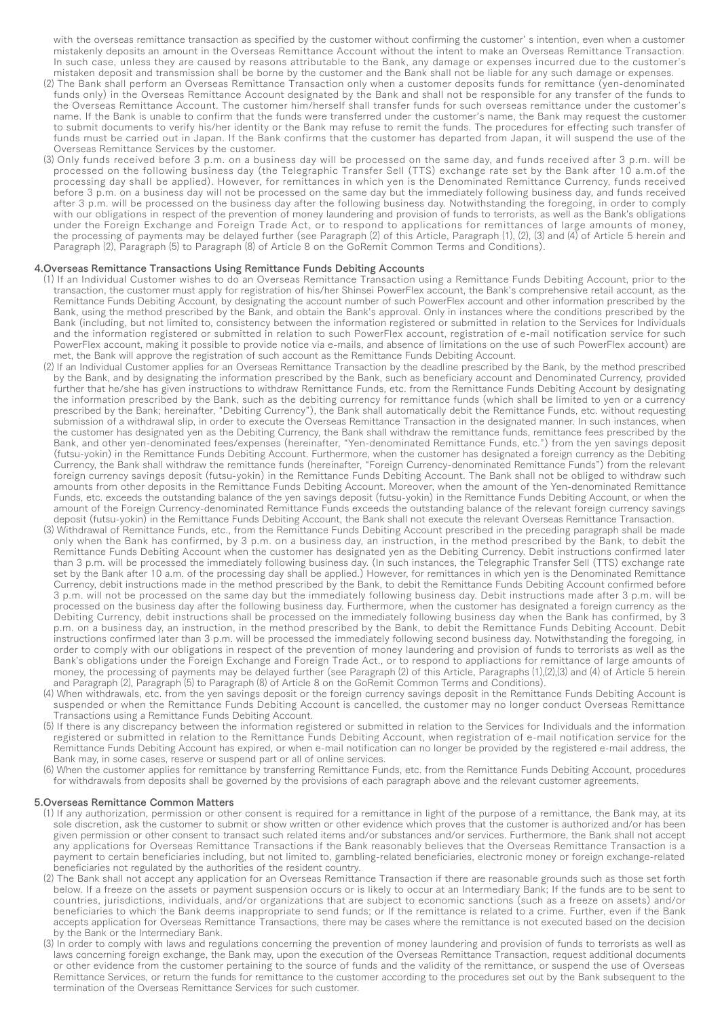with the overseas remittance transaction as specified by the customer without confirming the customer' s intention, even when a customer mistakenly deposits an amount in the Overseas Remittance Account without the intent to make an Overseas Remittance Transaction. In such case, unless they are caused by reasons attributable to the Bank, any damage or expenses incurred due to the customer's mistaken deposit and transmission shall be borne by the customer and the Bank shall not be liable for any such damage or expenses.

- ⑵ The Bank shall perform an Overseas Remittance Transaction only when a customer deposits funds for remittance (yen-denominated funds only) in the Overseas Remittance Account designated by the Bank and shall not be responsible for any transfer of the funds to the Overseas Remittance Account. The customer him/herself shall transfer funds for such overseas remittance under the customer's name. If the Bank is unable to confirm that the funds were transferred under the customer's name, the Bank may request the customer to submit documents to verify his/her identity or the Bank may refuse to remit the funds. The procedures for effecting such transfer of funds must be carried out in Japan. If the Bank confirms that the customer has departed from Japan, it will suspend the use of the Overseas Remittance Services by the customer.
- ⑶ Only funds received before 3 p.m. on a business day will be processed on the same day, and funds received after 3 p.m. will be processed on the following business day (the Telegraphic Transfer Sell (TTS) exchange rate set by the Bank after 10 a.m.of the processing day shall be applied). However, for remittances in which yen is the Denominated Remittance Currency, funds received before 3 p.m. on a business day will not be processed on the same day but the immediately following business day, and funds received after 3 p.m. will be processed on the business day after the following business day. Notwithstanding the foregoing, in order to comply with our obligations in respect of the prevention of money laundering and provision of funds to terrorists, as well as the Bank's obligations under the Foreign Exchange and Foreign Trade Act, or to respond to applications for remittances of large amounts of money, the processing of payments may be delayed further (see Paragraph ⑵ of this Article, Paragraph ⑴, ⑵, ⑶ and ⑷ of Article 5 herein and Paragraph (2), Paragraph (5) to Paragraph (8) of Article 8 on the GoRemit Common Terms and Conditions).

#### 4.Overseas Remittance Transactions Using Remittance Funds Debiting Accounts

- ⑴ If an Individual Customer wishes to do an Overseas Remittance Transaction using a Remittance Funds Debiting Account, prior to the transaction, the customer must apply for registration of his/her Shinsei PowerFlex account, the Bank's comprehensive retail account, as the Remittance Funds Debiting Account, by designating the account number of such PowerFlex account and other information prescribed by the Bank, using the method prescribed by the Bank, and obtain the Bank's approval. Only in instances where the conditions prescribed by the Bank (including, but not limited to, consistency between the information registered or submitted in relation to the Services for Individuals and the information registered or submitted in relation to such PowerFlex account, registration of e-mail notification service for such PowerFlex account, making it possible to provide notice via e-mails, and absence of limitations on the use of such PowerFlex account) are met, the Bank will approve the registration of such account as the Remittance Funds Debiting Account.
- ⑵ If an Individual Customer applies for an Overseas Remittance Transaction by the deadline prescribed by the Bank, by the method prescribed by the Bank, and by designating the information prescribed by the Bank, such as beneficiary account and Denominated Currency, provided further that he/she has given instructions to withdraw Remittance Funds, etc. from the Remittance Funds Debiting Account by designating the information prescribed by the Bank, such as the debiting currency for remittance funds (which shall be limited to yen or a currency prescribed by the Bank; hereinafter, "Debiting Currency"), the Bank shall automatically debit the Remittance Funds, etc. without requesting submission of a withdrawal slip, in order to execute the Overseas Remittance Transaction in the designated manner. In such instances, when the customer has designated yen as the Debiting Currency, the Bank shall withdraw the remittance funds, remittance fees prescribed by the Bank, and other yen-denominated fees/expenses (hereinafter, "Yen-denominated Remittance Funds, etc.") from the yen savings deposit (futsu-yokin) in the Remittance Funds Debiting Account. Furthermore, when the customer has designated a foreign currency as the Debiting Currency, the Bank shall withdraw the remittance funds (hereinafter, "Foreign Currency-denominated Remittance Funds") from the relevant foreign currency savings deposit (futsu-yokin) in the Remittance Funds Debiting Account. The Bank shall not be obliged to withdraw such amounts from other deposits in the Remittance Funds Debiting Account. Moreover, when the amount of the Yen-denominated Remittance Funds, etc. exceeds the outstanding balance of the yen savings deposit (futsu-yokin) in the Remittance Funds Debiting Account, or when the amount of the Foreign Currency-denominated Remittance Funds exceeds the outstanding balance of the relevant foreign currency savings deposit (futsu-yokin) in the Remittance Funds Debiting Account, the Bank shall not execute the relevant Overseas Remittance Transaction.
- ⑶ Withdrawal of Remittance Funds, etc., from the Remittance Funds Debiting Account prescribed in the preceding paragraph shall be made only when the Bank has confirmed, by 3 p.m. on a business day, an instruction, in the method prescribed by the Bank, to debit the Remittance Funds Debiting Account when the customer has designated yen as the Debiting Currency. Debit instructions confirmed later than 3 p.m. will be processed the immediately following business day. (In such instances, the Telegraphic Transfer Sell (TTS) exchange rate set by the Bank after 10 a.m. of the processing day shall be applied.) However, for remittances in which yen is the Denominated Remittance Currency, debit instructions made in the method prescribed by the Bank, to debit the Remittance Funds Debiting Account confirmed before 3 p.m. will not be processed on the same day but the immediately following business day. Debit instructions made after 3 p.m. will be processed on the business day after the following business day. Furthermore, when the customer has designated a foreign currency as the Debiting Currency, debit instructions shall be processed on the immediately following business day when the Bank has confirmed, by 3 p.m. on a business day, an instruction, in the method prescribed by the Bank, to debit the Remittance Funds Debiting Account. Debit instructions confirmed later than 3 p.m. will be processed the immediately following second business day. Notwithstanding the foregoing, in order to comply with our obligations in respect of the prevention of money laundering and provision of funds to terrorists as well as the Bank's obligations under the Foreign Exchange and Foreign Trade Act., or to respond to appliactions for remittance of large amounts of money, the processing of payments may be delayed further (see Paragraph (2) of this Article, Paragraphs (1),(2),(3) and (4) of Article 5 herein and Paragraph (2), Paragraph (5) to Paragraph (8) of Article 8 on the GoRemit Common Terms and Conditions).
- ⑷ When withdrawals, etc. from the yen savings deposit or the foreign currency savings deposit in the Remittance Funds Debiting Account is suspended or when the Remittance Funds Debiting Account is cancelled, the customer may no longer conduct Overseas Remittance Transactions using a Remittance Funds Debiting Account.
- ⑸ If there is any discrepancy between the information registered or submitted in relation to the Services for Individuals and the information registered or submitted in relation to the Remittance Funds Debiting Account, when registration of e-mail notification service for the Remittance Funds Debiting Account has expired, or when e-mail notification can no longer be provided by the registered e-mail address, the Bank may, in some cases, reserve or suspend part or all of online services.
- ⑹ When the customer applies for remittance by transferring Remittance Funds, etc. from the Remittance Funds Debiting Account, procedures for withdrawals from deposits shall be governed by the provisions of each paragraph above and the relevant customer agreements.

#### 5.Overseas Remittance Common Matters

- ⑴ If any authorization, permission or other consent is required for a remittance in light of the purpose of a remittance, the Bank may, at its sole discretion, ask the customer to submit or show written or other evidence which proves that the customer is authorized and/or has been given permission or other consent to transact such related items and/or substances and/or services. Furthermore, the Bank shall not accept any applications for Overseas Remittance Transactions if the Bank reasonably believes that the Overseas Remittance Transaction is a payment to certain beneficiaries including, but not limited to, gambling-related beneficiaries, electronic money or foreign exchange-related beneficiaries not regulated by the authorities of the resident country.
- ⑵ The Bank shall not accept any application for an Overseas Remittance Transaction if there are reasonable grounds such as those set forth below. If a freeze on the assets or payment suspension occurs or is likely to occur at an Intermediary Bank; If the funds are to be sent to countries, jurisdictions, individuals, and/or organizations that are subject to economic sanctions (such as a freeze on assets) and/or beneficiaries to which the Bank deems inappropriate to send funds; or If the remittance is related to a crime. Further, even if the Bank accepts application for Overseas Remittance Transactions, there may be cases where the remittance is not executed based on the decision by the Bank or the Intermediary Bank.
- ⑶ In order to comply with laws and regulations concerning the prevention of money laundering and provision of funds to terrorists as well as laws concerning foreign exchange, the Bank may, upon the execution of the Overseas Remittance Transaction, request additional documents or other evidence from the customer pertaining to the source of funds and the validity of the remittance, or suspend the use of Overseas Remittance Services, or return the funds for remittance to the customer according to the procedures set out by the Bank subsequent to the termination of the Overseas Remittance Services for such customer.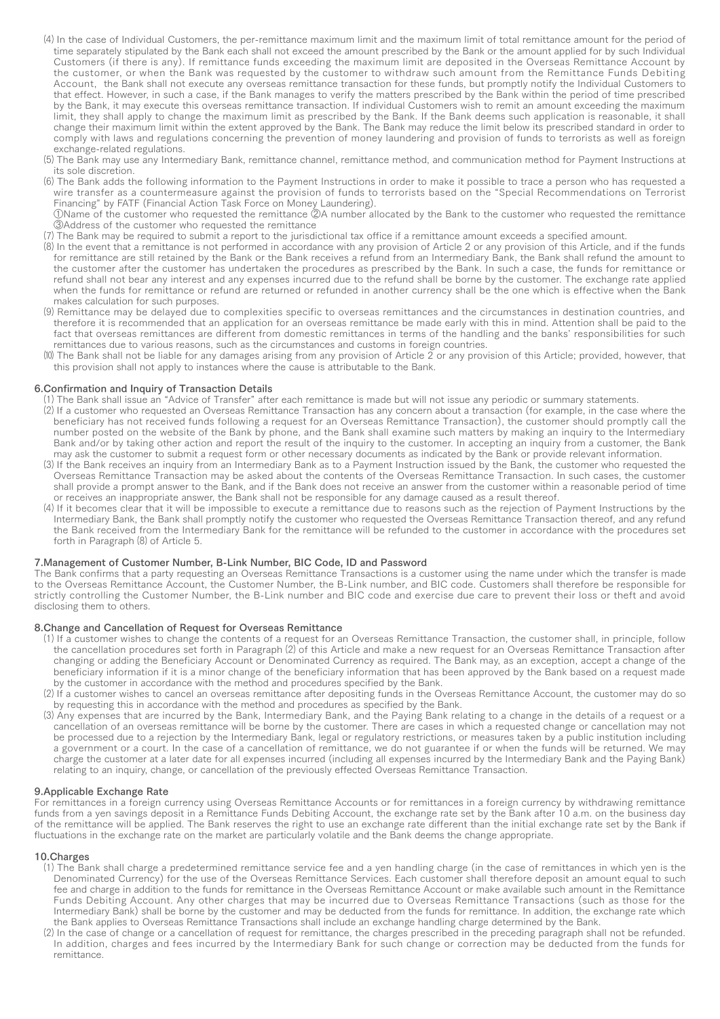- ⑷ In the case of Individual Customers, the per-remittance maximum limit and the maximum limit of total remittance amount for the period of time separately stipulated by the Bank each shall not exceed the amount prescribed by the Bank or the amount applied for by such Individual Customers (if there is any). If remittance funds exceeding the maximum limit are deposited in the Overseas Remittance Account by the customer, or when the Bank was requested by the customer to withdraw such amount from the Remittance Funds Debiting Account, the Bank shall not execute any overseas remittance transaction for these funds, but promptly notify the Individual Customers to that effect. However, in such a case, if the Bank manages to verify the matters prescribed by the Bank within the period of time prescribed by the Bank, it may execute this overseas remittance transaction. If individual Customers wish to remit an amount exceeding the maximum limit, they shall apply to change the maximum limit as prescribed by the Bank. If the Bank deems such application is reasonable, it shall change their maximum limit within the extent approved by the Bank. The Bank may reduce the limit below its prescribed standard in order to comply with laws and regulations concerning the prevention of money laundering and provision of funds to terrorists as well as foreign exchange-related regulations.
- ⑸ The Bank may use any Intermediary Bank, remittance channel, remittance method, and communication method for Payment Instructions at its sole discretion.
- ⑹ The Bank adds the following information to the Payment Instructions in order to make it possible to trace a person who has requested a wire transfer as a countermeasure against the provision of funds to terrorists based on the "Special Recommendations on Terrorist Financing" by FATF (Financial Action Task Force on Money Laundering).
- ①Name of the customer who requested the remittance ②A number allocated by the Bank to the customer who requested the remittance ③Address of the customer who requested the remittance
- ⑺ The Bank may be required to submit a report to the jurisdictional tax office if a remittance amount exceeds a specified amount.
- ⑻ In the event that a remittance is not performed in accordance with any provision of Article 2 or any provision of this Article, and if the funds for remittance are still retained by the Bank or the Bank receives a refund from an Intermediary Bank, the Bank shall refund the amount to the customer after the customer has undertaken the procedures as prescribed by the Bank. In such a case, the funds for remittance or refund shall not bear any interest and any expenses incurred due to the refund shall be borne by the customer. The exchange rate applied when the funds for remittance or refund are returned or refunded in another currency shall be the one which is effective when the Bank makes calculation for such purposes.
- ⑼ Remittance may be delayed due to complexities specific to overseas remittances and the circumstances in destination countries, and therefore it is recommended that an application for an overseas remittance be made early with this in mind. Attention shall be paid to the fact that overseas remittances are different from domestic remittances in terms of the handling and the banks' responsibilities for such remittances due to various reasons, such as the circumstances and customs in foreign countries.
- (10) The Bank shall not be liable for any damages arising from any provision of Article  $\tilde{2}$  or any provision of this Article; provided, however, that this provision shall not apply to instances where the cause is attributable to the Bank.

# 6.Confirmation and Inquiry of Transaction Details

- ⑴ The Bank shall issue an "Advice of Transfer" after each remittance is made but will not issue any periodic or summary statements.
- ⑵ If a customer who requested an Overseas Remittance Transaction has any concern about a transaction (for example, in the case where the beneficiary has not received funds following a request for an Overseas Remittance Transaction), the customer should promptly call the number posted on the website of the Bank by phone, and the Bank shall examine such matters by making an inquiry to the Intermediary Bank and/or by taking other action and report the result of the inquiry to the customer. In accepting an inquiry from a customer, the Bank may ask the customer to submit a request form or other necessary documents as indicated by the Bank or provide relevant information.
- ⑶ If the Bank receives an inquiry from an Intermediary Bank as to a Payment Instruction issued by the Bank, the customer who requested the Overseas Remittance Transaction may be asked about the contents of the Overseas Remittance Transaction. In such cases, the customer shall provide a prompt answer to the Bank, and if the Bank does not receive an answer from the customer within a reasonable period of time or receives an inappropriate answer, the Bank shall not be responsible for any damage caused as a result thereof.
- ⑷ If it becomes clear that it will be impossible to execute a remittance due to reasons such as the rejection of Payment Instructions by the Intermediary Bank, the Bank shall promptly notify the customer who requested the Overseas Remittance Transaction thereof, and any refund the Bank received from the Intermediary Bank for the remittance will be refunded to the customer in accordance with the procedures set forth in Paragraph (8) of Article 5.

# 7.Management of Customer Number, B-Link Number, BIC Code, ID and Password

The Bank confirms that a party requesting an Overseas Remittance Transactions is a customer using the name under which the transfer is made to the Overseas Remittance Account, the Customer Number, the B-Link number, and BIC code. Customers shall therefore be responsible for strictly controlling the Customer Number, the B-Link number and BIC code and exercise due care to prevent their loss or theft and avoid disclosing them to others.

# 8.Change and Cancellation of Request for Overseas Remittance

- ⑴ If a customer wishes to change the contents of a request for an Overseas Remittance Transaction, the customer shall, in principle, follow the cancellation procedures set forth in Paragraph ⑵ of this Article and make a new request for an Overseas Remittance Transaction after changing or adding the Beneficiary Account or Denominated Currency as required. The Bank may, as an exception, accept a change of the beneficiary information if it is a minor change of the beneficiary information that has been approved by the Bank based on a request made by the customer in accordance with the method and procedures specified by the Bank.
- ⑵ If a customer wishes to cancel an overseas remittance after depositing funds in the Overseas Remittance Account, the customer may do so by requesting this in accordance with the method and procedures as specified by the Bank.
- ⑶ Any expenses that are incurred by the Bank, Intermediary Bank, and the Paying Bank relating to a change in the details of a request or a cancellation of an overseas remittance will be borne by the customer. There are cases in which a requested change or cancellation may not be processed due to a rejection by the Intermediary Bank, legal or regulatory restrictions, or measures taken by a public institution including a government or a court. In the case of a cancellation of remittance, we do not guarantee if or when the funds will be returned. We may charge the customer at a later date for all expenses incurred (including all expenses incurred by the Intermediary Bank and the Paying Bank) relating to an inquiry, change, or cancellation of the previously effected Overseas Remittance Transaction.

#### 9.Applicable Exchange Rate

For remittances in a foreign currency using Overseas Remittance Accounts or for remittances in a foreign currency by withdrawing remittance funds from a yen savings deposit in a Remittance Funds Debiting Account, the exchange rate set by the Bank after 10 a.m. on the business day of the remittance will be applied. The Bank reserves the right to use an exchange rate different than the initial exchange rate set by the Bank if fluctuations in the exchange rate on the market are particularly volatile and the Bank deems the change appropriate.

# 10.Charges

- ⑴ The Bank shall charge a predetermined remittance service fee and a yen handling charge (in the case of remittances in which yen is the Denominated Currency) for the use of the Overseas Remittance Services. Each customer shall therefore deposit an amount equal to such fee and charge in addition to the funds for remittance in the Overseas Remittance Account or make available such amount in the Remittance Funds Debiting Account. Any other charges that may be incurred due to Overseas Remittance Transactions (such as those for the Intermediary Bank) shall be borne by the customer and may be deducted from the funds for remittance. In addition, the exchange rate which the Bank applies to Overseas Remittance Transactions shall include an exchange handling charge determined by the Bank.
- ⑵ In the case of change or a cancellation of request for remittance, the charges prescribed in the preceding paragraph shall not be refunded. In addition, charges and fees incurred by the Intermediary Bank for such change or correction may be deducted from the funds for remittance.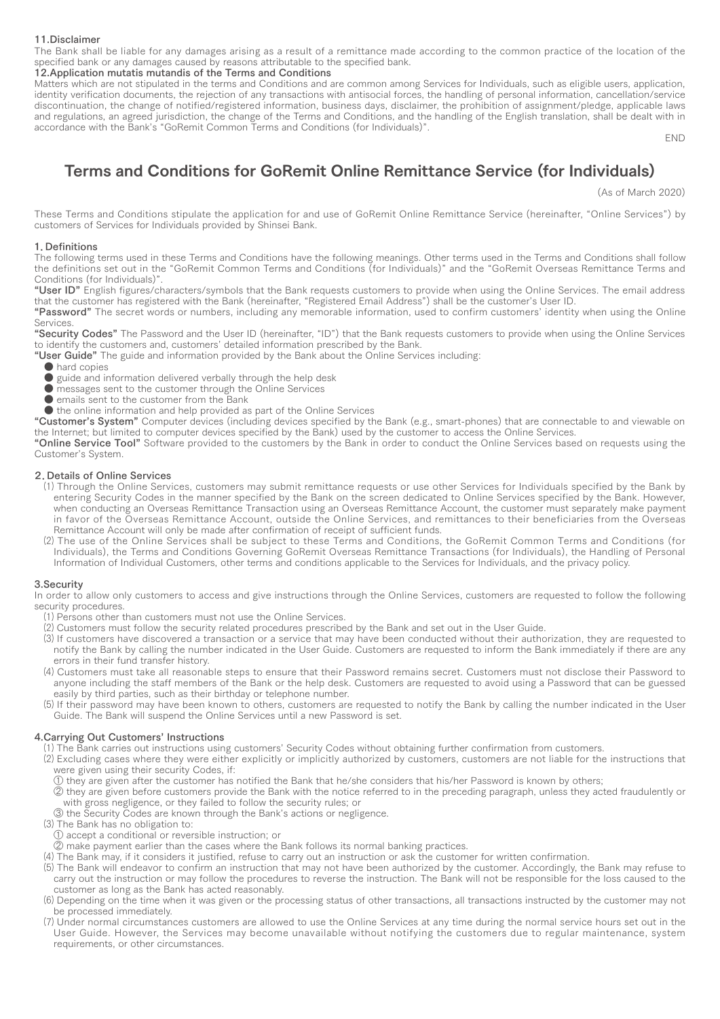#### 11.Disclaimer

The Bank shall be liable for any damages arising as a result of a remittance made according to the common practice of the location of the specified bank or any damages caused by reasons attributable to the specified bank.

#### 12.Application mutatis mutandis of the Terms and Conditions

Matters which are not stipulated in the terms and Conditions and are common among Services for Individuals, such as eligible users, application, identity verification documents, the rejection of any transactions with antisocial forces, the handling of personal information, cancellation/service discontinuation, the change of notified/registered information, business days, disclaimer, the prohibition of assignment/pledge, applicable laws and regulations, an agreed jurisdiction, the change of the Terms and Conditions, and the handling of the English translation, shall be dealt with in accordance with the Bank's "GoRemit Common Terms and Conditions (for Individuals)".

END

# Terms and Conditions for GoRemit Online Remittance Service (for Individuals)

(As of March 2020)

These Terms and Conditions stipulate the application for and use of GoRemit Online Remittance Service (hereinafter, "Online Services") by customers of Services for Individuals provided by Shinsei Bank.

#### 1.Definitions

The following terms used in these Terms and Conditions have the following meanings. Other terms used in the Terms and Conditions shall follow the definitions set out in the "GoRemit Common Terms and Conditions (for Individuals)" and the "GoRemit Overseas Remittance Terms and Conditions (for Individuals)".

"User ID" English figures/characters/symbols that the Bank requests customers to provide when using the Online Services. The email address that the customer has registered with the Bank (hereinafter, "Registered Email Address") shall be the customer's User ID.

"Password" The secret words or numbers, including any memorable information, used to confirm customers' identity when using the Online Services.

"Security Codes" The Password and the User ID (hereinafter, "ID") that the Bank requests customers to provide when using the Online Services to identify the customers and, customers' detailed information prescribed by the Bank.

"User Guide" The guide and information provided by the Bank about the Online Services including:

- hard copies
- $\bullet$  guide and information delivered verbally through the help desk
- messages sent to the customer through the Online Services
- emails sent to the customer from the Bank
- the online information and help provided as part of the Online Services

"Customer's System" Computer devices (including devices specified by the Bank (e.g., smart-phones) that are connectable to and viewable on the Internet; but limited to computer devices specified by the Bank) used by the customer to access the Online Services.

"Online Service Tool" Software provided to the customers by the Bank in order to conduct the Online Services based on requests using the Customer's System.

#### 2.Details of Online Services

- ⑴ Through the Online Services, customers may submit remittance requests or use other Services for Individuals specified by the Bank by entering Security Codes in the manner specified by the Bank on the screen dedicated to Online Services specified by the Bank. However, when conducting an Overseas Remittance Transaction using an Overseas Remittance Account, the customer must separately make payment in favor of the Overseas Remittance Account, outside the Online Services, and remittances to their beneficiaries from the Overseas Remittance Account will only be made after confirmation of receipt of sufficient funds.
- ⑵ The use of the Online Services shall be subject to these Terms and Conditions, the GoRemit Common Terms and Conditions (for Individuals), the Terms and Conditions Governing GoRemit Overseas Remittance Transactions (for Individuals), the Handling of Personal Information of Individual Customers, other terms and conditions applicable to the Services for Individuals, and the privacy policy.

#### 3.Security

In order to allow only customers to access and give instructions through the Online Services, customers are requested to follow the following security procedures.

⑴ Persons other than customers must not use the Online Services.

⑵ Customers must follow the security related procedures prescribed by the Bank and set out in the User Guide.

- ⑶ If customers have discovered a transaction or a service that may have been conducted without their authorization, they are requested to notify the Bank by calling the number indicated in the User Guide. Customers are requested to inform the Bank immediately if there are any errors in their fund transfer history.
- ⑷ Customers must take all reasonable steps to ensure that their Password remains secret. Customers must not disclose their Password to anyone including the staff members of the Bank or the help desk. Customers are requested to avoid using a Password that can be guessed easily by third parties, such as their birthday or telephone number.
- ⑸ If their password may have been known to others, customers are requested to notify the Bank by calling the number indicated in the User Guide. The Bank will suspend the Online Services until a new Password is set.

#### 4.Carrying Out Customers' Instructions

⑴ The Bank carries out instructions using customers' Security Codes without obtaining further confirmation from customers.

- ⑵ Excluding cases where they were either explicitly or implicitly authorized by customers, customers are not liable for the instructions that were given using their security Codes, if:
	- ① they are given after the customer has notified the Bank that he/she considers that his/her Password is known by others;
- ② they are given before customers provide the Bank with the notice referred to in the preceding paragraph, unless they acted fraudulently or with gross negligence, or they failed to follow the security rules; or
- ③ the Security Codes are known through the Bank's actions or negligence.
- ⑶ The Bank has no obligation to:
- ① accept a conditional or reversible instruction; or
- ② make payment earlier than the cases where the Bank follows its normal banking practices.
- ⑷ The Bank may, if it considers it justified, refuse to carry out an instruction or ask the customer for written confirmation.
- ⑸ The Bank will endeavor to confirm an instruction that may not have been authorized by the customer. Accordingly, the Bank may refuse to carry out the instruction or may follow the procedures to reverse the instruction. The Bank will not be responsible for the loss caused to the customer as long as the Bank has acted reasonably.
- ⑹ Depending on the time when it was given or the processing status of other transactions, all transactions instructed by the customer may not be processed immediately.
- ⑺ Under normal circumstances customers are allowed to use the Online Services at any time during the normal service hours set out in the User Guide. However, the Services may become unavailable without notifying the customers due to regular maintenance, system requirements, or other circumstances.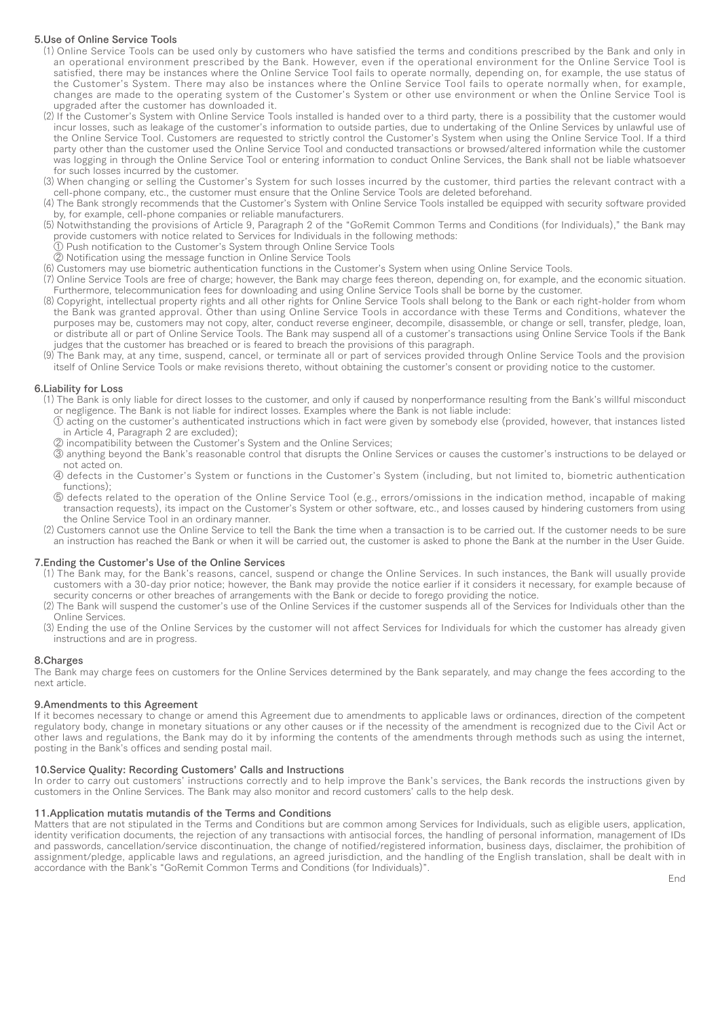# 5.Use of Online Service Tools

- ⑴ Online Service Tools can be used only by customers who have satisfied the terms and conditions prescribed by the Bank and only in an operational environment prescribed by the Bank. However, even if the operational environment for the Online Service Tool is satisfied, there may be instances where the Online Service Tool fails to operate normally, depending on, for example, the use status of the Customer's System. There may also be instances where the Online Service Tool fails to operate normally when, for example, changes are made to the operating system of the Customer's System or other use environment or when the Online Service Tool is upgraded after the customer has downloaded it.
- ⑵ If the Customer's System with Online Service Tools installed is handed over to a third party, there is a possibility that the customer would incur losses, such as leakage of the customer's information to outside parties, due to undertaking of the Online Services by unlawful use of the Online Service Tool. Customers are requested to strictly control the Customer's System when using the Online Service Tool. If a third party other than the customer used the Online Service Tool and conducted transactions or browsed/altered information while the customer was logging in through the Online Service Tool or entering information to conduct Online Services, the Bank shall not be liable whatsoever for such losses incurred by the customer.
- ⑶ When changing or selling the Customer's System for such losses incurred by the customer, third parties the relevant contract with a cell-phone company, etc., the customer must ensure that the Online Service Tools are deleted beforehand.
- ⑷ The Bank strongly recommends that the Customer's System with Online Service Tools installed be equipped with security software provided by, for example, cell-phone companies or reliable manufacturers.
- ⑸ Notwithstanding the provisions of Article 9, Paragraph 2 of the "GoRemit Common Terms and Conditions (for Individuals)," the Bank may provide customers with notice related to Services for Individuals in the following methods:
- ① Push notification to the Customer's System through Online Service Tools
- ② Notification using the message function in Online Service Tools
- ⑹ Customers may use biometric authentication functions in the Customer's System when using Online Service Tools.
- ⑺ Online Service Tools are free of charge; however, the Bank may charge fees thereon, depending on, for example, and the economic situation. Furthermore, telecommunication fees for downloading and using Online Service Tools shall be borne by the customer.
- ⑻ Copyright, intellectual property rights and all other rights for Online Service Tools shall belong to the Bank or each right-holder from whom the Bank was granted approval. Other than using Online Service Tools in accordance with these Terms and Conditions, whatever the purposes may be, customers may not copy, alter, conduct reverse engineer, decompile, disassemble, or change or sell, transfer, pledge, loan, or distribute all or part of Online Service Tools. The Bank may suspend all of a customer's transactions using Online Service Tools if the Bank judges that the customer has breached or is feared to breach the provisions of this paragraph.
- ⑼ The Bank may, at any time, suspend, cancel, or terminate all or part of services provided through Online Service Tools and the provision itself of Online Service Tools or make revisions thereto, without obtaining the customer's consent or providing notice to the customer.

# 6.Liability for Loss

- ⑴ The Bank is only liable for direct losses to the customer, and only if caused by nonperformance resulting from the Bank's willful misconduct or negligence. The Bank is not liable for indirect losses. Examples where the Bank is not liable include:
- ① acting on the customer's authenticated instructions which in fact were given by somebody else (provided, however, that instances listed in Article 4, Paragraph 2 are excluded);
- ② incompatibility between the Customer's System and the Online Services;
- ③ anything beyond the Bank's reasonable control that disrupts the Online Services or causes the customer's instructions to be delayed or not acted on.
- ④ defects in the Customer's System or functions in the Customer's System (including, but not limited to, biometric authentication functions);
- ⑤ defects related to the operation of the Online Service Tool (e.g., errors/omissions in the indication method, incapable of making transaction requests), its impact on the Customer's System or other software, etc., and losses caused by hindering customers from using the Online Service Tool in an ordinary manner.
- ⑵ Customers cannot use the Online Service to tell the Bank the time when a transaction is to be carried out. If the customer needs to be sure an instruction has reached the Bank or when it will be carried out, the customer is asked to phone the Bank at the number in the User Guide.

#### 7.Ending the Customer's Use of the Online Services

- ⑴ The Bank may, for the Bank's reasons, cancel, suspend or change the Online Services. In such instances, the Bank will usually provide customers with a 30-day prior notice; however, the Bank may provide the notice earlier if it considers it necessary, for example because of security concerns or other breaches of arrangements with the Bank or decide to forego providing the notice.
- ⑵ The Bank will suspend the customer's use of the Online Services if the customer suspends all of the Services for Individuals other than the Online Services.
- ⑶ Ending the use of the Online Services by the customer will not affect Services for Individuals for which the customer has already given instructions and are in progress.

#### 8.Charges

The Bank may charge fees on customers for the Online Services determined by the Bank separately, and may change the fees according to the next article.

#### 9.Amendments to this Agreement

If it becomes necessary to change or amend this Agreement due to amendments to applicable laws or ordinances, direction of the competent regulatory body, change in monetary situations or any other causes or if the necessity of the amendment is recognized due to the Civil Act or other laws and regulations, the Bank may do it by informing the contents of the amendments through methods such as using the internet, posting in the Bank's offices and sending postal mail.

#### 10.Service Quality: Recording Customers' Calls and Instructions

In order to carry out customers' instructions correctly and to help improve the Bank's services, the Bank records the instructions given by customers in the Online Services. The Bank may also monitor and record customers' calls to the help desk.

#### 11.Application mutatis mutandis of the Terms and Conditions

Matters that are not stipulated in the Terms and Conditions but are common among Services for Individuals, such as eligible users, application, identity verification documents, the rejection of any transactions with antisocial forces, the handling of personal information, management of IDs and passwords, cancellation/service discontinuation, the change of notified/registered information, business days, disclaimer, the prohibition of and passiment/pledge, applicable laws and regulations, an agreed jurisdiction, and the handling of the English translation, shall be dealt with in accordance with the Bank's "GoRemit Common Terms and Conditions (for Individuals)".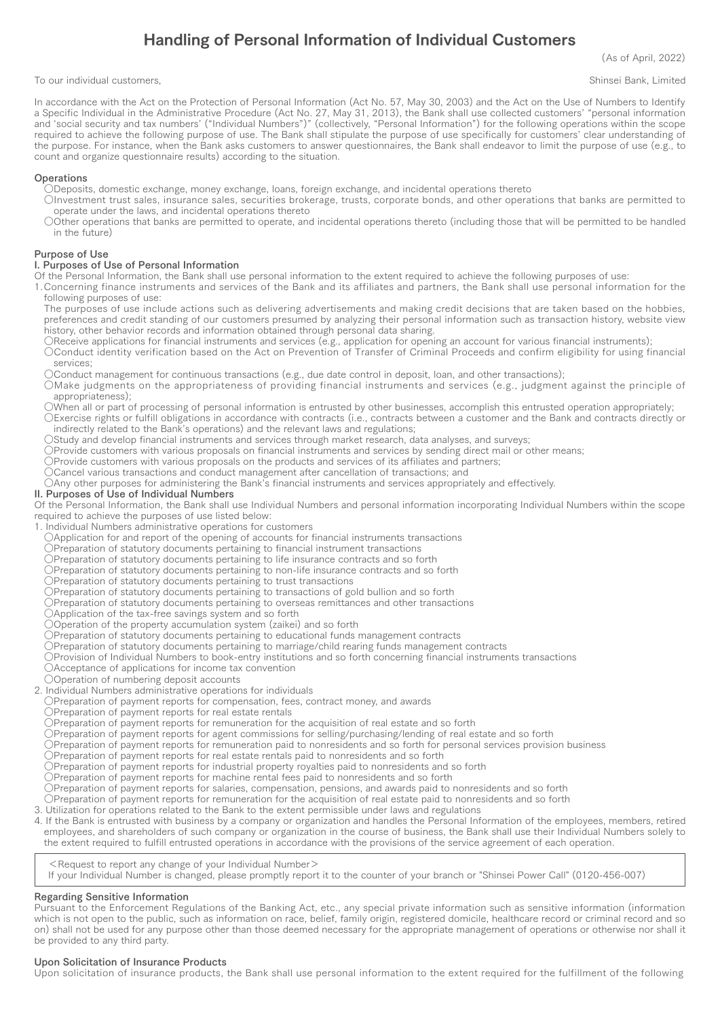# Handling of Personal Information of Individual Customers

(As of April, 2022)

To our individual customers, The control of the control of the control of the control of the control of the control of the control of the control of the control of the control of the control of the control of the control o

In accordance with the Act on the Protection of Personal Information (Act No. 57, May 30, 2003) and the Act on the Use of Numbers to Identify a Specific Individual in the Administrative Procedure (Act No. 27, May 31, 2013), the Bank shall use collected customers' "personal information and ʻsocial security and tax numbers' ("Individual Numbers")" (collectively, "Personal Information") for the following operations within the scope required to achieve the following purpose of use. The Bank shall stipulate the purpose of use specifically for customers' clear understanding of the purpose. For instance, when the Bank asks customers to answer questionnaires, the Bank shall endeavor to limit the purpose of use (e.g., to count and organize questionnaire results) according to the situation.

# **Operations**

- ○Deposits, domestic exchange, money exchange, loans, foreign exchange, and incidental operations thereto
- ○Investment trust sales, insurance sales, securities brokerage, trusts, corporate bonds, and other operations that banks are permitted to operate under the laws, and incidental operations thereto
- ○Other operations that banks are permitted to operate, and incidental operations thereto (including those that will be permitted to be handled in the future)

# Purpose of Use

# I. Purposes of Use of Personal Information

Of the Personal Information, the Bank shall use personal information to the extent required to achieve the following purposes of use:

1.Concerning finance instruments and services of the Bank and its affiliates and partners, the Bank shall use personal information for the following purposes of use:

The purposes of use include actions such as delivering advertisements and making credit decisions that are taken based on the hobbies, preferences and credit standing of our customers presumed by analyzing their personal information such as transaction history, website view history, other behavior records and information obtained through personal data sharing.

- OReceive applications for financial instruments and services (e.g., application for opening an account for various financial instruments); ○Conduct identity verification based on the Act on Prevention of Transfer of Criminal Proceeds and confirm eligibility for using financial services;
- ○Conduct management for continuous transactions (e.g., due date control in deposit, loan, and other transactions);
- ○Make judgments on the appropriateness of providing financial instruments and services (e.g., judgment against the principle of appropriateness);
- ○When all or part of processing of personal information is entrusted by other businesses, accomplish this entrusted operation appropriately; ○Exercise rights or fulfill obligations in accordance with contracts (i.e., contracts between a customer and the Bank and contracts directly or
- indirectly related to the Bank's operations) and the relevant laws and regulations;
- ○Study and develop financial instruments and services through market research, data analyses, and surveys;
- ○Provide customers with various proposals on financial instruments and services by sending direct mail or other means;
- ○Provide customers with various proposals on the products and services of its affiliates and partners;
- ○Cancel various transactions and conduct management after cancellation of transactions; and

○Any other purposes for administering the Bank's financial instruments and services appropriately and effectively.

# II. Purposes of Use of Individual Numbers

Of the Personal Information, the Bank shall use Individual Numbers and personal information incorporating Individual Numbers within the scope required to achieve the purposes of use listed below:

- 1. Individual Numbers administrative operations for customers
- ○Application for and report of the opening of accounts for financial instruments transactions
- OPreparation of statutory documents pertaining to financial instrument transactions
- ○Preparation of statutory documents pertaining to life insurance contracts and so forth
- ○Preparation of statutory documents pertaining to non-life insurance contracts and so forth
- ○Preparation of statutory documents pertaining to trust transactions
- ○Preparation of statutory documents pertaining to transactions of gold bullion and so forth
- ○Preparation of statutory documents pertaining to overseas remittances and other transactions
- ○Application of the tax-free savings system and so forth
- ○Operation of the property accumulation system (zaikei) and so forth
- ○Preparation of statutory documents pertaining to educational funds management contracts
- ○Preparation of statutory documents pertaining to marriage/child rearing funds management contracts
- ○Provision of Individual Numbers to book-entry institutions and so forth concerning financial instruments transactions
- OAcceptance of applications for income tax convention
- ○Operation of numbering deposit accounts
- 2. Individual Numbers administrative operations for individuals
- ○Preparation of payment reports for compensation, fees, contract money, and awards
- OPreparation of payment reports for real estate rentals
- ○Preparation of payment reports for remuneration for the acquisition of real estate and so forth
- ○Preparation of payment reports for agent commissions for selling/purchasing/lending of real estate and so forth
- ○Preparation of payment reports for remuneration paid to nonresidents and so forth for personal services provision business
- ○Preparation of payment reports for real estate rentals paid to nonresidents and so forth
- Or reparation of payment reports for industrial property royalties paid to nonresidents and so forth
- ○Preparation of payment reports for machine rental fees paid to nonresidents and so forth
- ○Preparation of payment reports for salaries, compensation, pensions, and awards paid to nonresidents and so forth
- ○Preparation of payment reports for remuneration for the acquisition of real estate paid to nonresidents and so forth
- 3. Utilization for operations related to the Bank to the extent permissible under laws and regulations
- 4. If the Bank is entrusted with business by a company or organization and handles the Personal Information of the employees, members, retired employees, and shareholders of such company or organization in the course of business, the Bank shall use their Individual Numbers solely to the extent required to fulfill entrusted operations in accordance with the provisions of the service agreement of each operation.
	- <Request to report any change of your Individual Number>
	- If your Individual Number is changed, please promptly report it to the counter of your branch or "Shinsei Power Call" (0120-456-007)

# Regarding Sensitive Information

Pursuant to the Enforcement Regulations of the Banking Act, etc., any special private information such as sensitive information (information which is not open to the public, such as information on race, belief, family origin, registered domicile, healthcare record or criminal record and so on) shall not be used for any purpose other than those deemed necessary for the appropriate management of operations or otherwise nor shall it be provided to any third party.

#### Upon Solicitation of Insurance Products

Upon solicitation of insurance products, the Bank shall use personal information to the extent required for the fulfillment of the following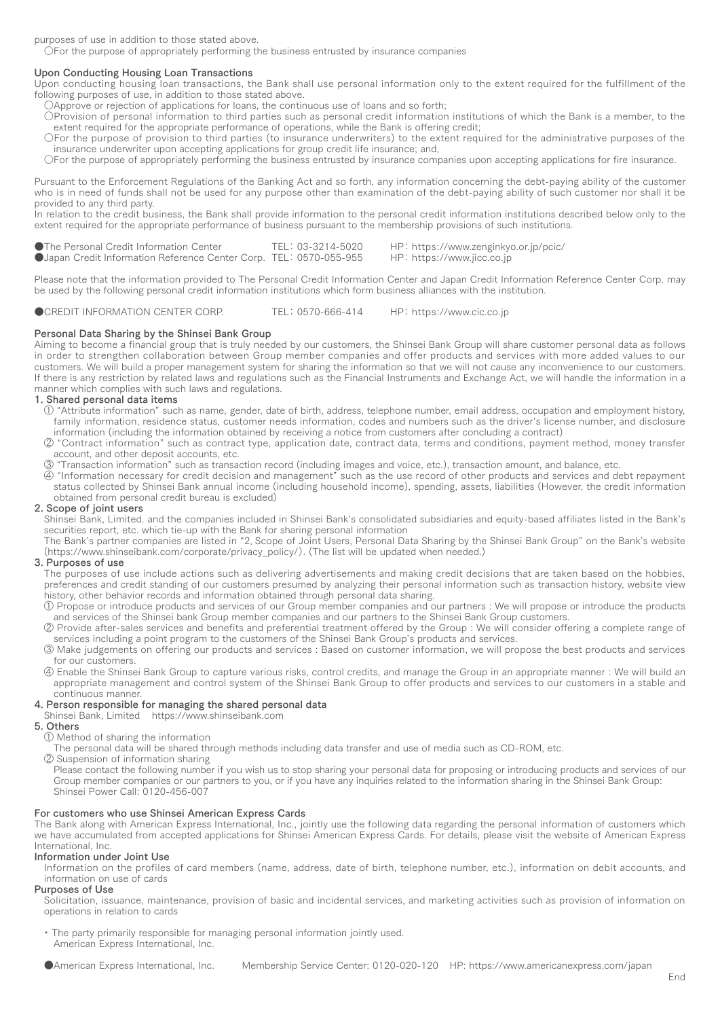purposes of use in addition to those stated above.

 $\dot{\bigcirc}$  For the purpose of appropriately performing the business entrusted by insurance companies

# Upon Conducting Housing Loan Transactions

Upon conducting housing loan transactions, the Bank shall use personal information only to the extent required for the fulfillment of the following purposes of use, in addition to those stated above.

- ○Approve or rejection of applications for loans, the continuous use of loans and so forth;
- ○Provision of personal information to third parties such as personal credit information institutions of which the Bank is a member, to the extent required for the appropriate performance of operations, while the Bank is offering credit;
- ○For the purpose of provision to third parties (to insurance underwriters) to the extent required for the administrative purposes of the insurance underwriter upon accepting applications for group credit life insurance; and,
- ○For the purpose of appropriately performing the business entrusted by insurance companies upon accepting applications for fire insurance.

Pursuant to the Enforcement Regulations of the Banking Act and so forth, any information concerning the debt-paying ability of the customer who is in need of funds shall not be used for any purpose other than examination of the debt-paying ability of such customer nor shall it be provided to any third party.

In relation to the credit business, the Bank shall provide information to the personal credit information institutions described below only to the extent required for the appropriate performance of business pursuant to the membership provisions of such institutions.

| ●The Personal Credit Information Center                                   | TEL: 03-3214-5020 | HP: https://www.zenginkyo.or.jp/pcic/ |
|---------------------------------------------------------------------------|-------------------|---------------------------------------|
| <b>OJapan Credit Information Reference Center Corp. TEL: 0570-055-955</b> |                   | HP: https://www.jicc.co.jp            |

Please note that the information provided to The Personal Credit Information Center and Japan Credit Information Reference Center Corp. may be used by the following personal credit information institutions which form business alliances with the institution.

●CREDIT INFORMATION CENTER CORP. TEL: 0570-666-414 HP: https://www.cic.co.jp

#### Personal Data Sharing by the Shinsei Bank Group

Aiming to become a financial group that is truly needed by our customers, the Shinsei Bank Group will share customer personal data as follows in order to strengthen collaboration between Group member companies and offer products and services with more added values to our customers. We will build a proper management system for sharing the information so that we will not cause any inconvenience to our customers. If there is any restriction by related laws and regulations such as the Financial Instruments and Exchange Act, we will handle the information in a manner which complies with such laws and regulations.

#### 1. Shared personal data items

- ① "Attribute information" such as name, gender, date of birth, address, telephone number, email address, occupation and employment history, family information, residence status, customer needs information, codes and numbers such as the driver's license number, and disclosure information (including the information obtained by receiving a notice from customers after concluding a contract)
- ② "Contract information" such as contract type, application date, contract data, terms and conditions, payment method, money transfer account, and other deposit accounts, etc.
- ③ "Transaction information" such as transaction record (including images and voice, etc.), transaction amount, and balance, etc.
- ④ "Information necessary for credit decision and management" such as the use record of other products and services and debt repayment status collected by Shinsei Bank annual income (including household income), spending, assets, liabilities (However, the credit information obtained from personal credit bureau is excluded)

## 2. Scope of joint users

Shinsei Bank, Limited. and the companies included in Shinsei Bank's consolidated subsidiaries and equity-based affiliates listed in the Bank's securities report, etc. which tie-up with the Bank for sharing personal information

The Bank's partner companies are listed in "2.Scope of Joint Users, Personal Data Sharing by the Shinsei Bank Group" on the Bank's website (https://www.shinseibank.com/corporate/privacy\_policy/). (The list will be updated when needed.)

#### 3. Purposes of use

The purposes of use include actions such as delivering advertisements and making credit decisions that are taken based on the hobbies, preferences and credit standing of our customers presumed by analyzing their personal information such as transaction history, website view history, other behavior records and information obtained through personal data sharing.

① Propose or introduce products and services of our Group member companies and our partners : We will propose or introduce the products and services of the Shinsei bank Group member companies and our partners to the Shinsei Bank Group customers.

- ② Provide after-sales services and benefits and preferential treatment offered by the Group : We will consider offering a complete range of services including a point program to the customers of the Shinsei Bank Group's products and services.
- ③ Make judgements on offering our products and services : Based on customer information, we will propose the best products and services for our customers.
- ④ Enable the Shinsei Bank Group to capture various risks, control credits, and manage the Group in an appropriate manner : We will build an appropriate management and control system of the Shinsei Bank Group to offer products and services to our customers in a stable and continuous manner.

#### 4. Person responsible for managing the shared personal data

Shinsei Bank, Limited https://www.shinseibank.com

#### 5. Others

① Method of sharing the information

The personal data will be shared through methods including data transfer and use of media such as CD-ROM, etc.

② Suspension of information sharing

Please contact the following number if you wish us to stop sharing your personal data for proposing or introducing products and services of our Group member companies or our partners to you, or if you have any inquiries related to the information sharing in the Shinsei Bank Group: Shinsei Power Call: 0120-456-007

#### For customers who use Shinsei American Express Cards

The Bank along with American Express International, Inc., jointly use the following data regarding the personal information of customers which we have accumulated from accepted applications for Shinsei American Express Cards. For details, please visit the website of American Express International, Inc.

#### Information under Joint Use

Information on the profiles of card members (name, address, date of birth, telephone number, etc.), information on debit accounts, and information on use of cards

#### Purposes of Use

Solicitation, issuance, maintenance, provision of basic and incidental services, and marketing activities such as provision of information on operations in relation to cards

・ The party primarily responsible for managing personal information jointly used. American Express International, Inc.